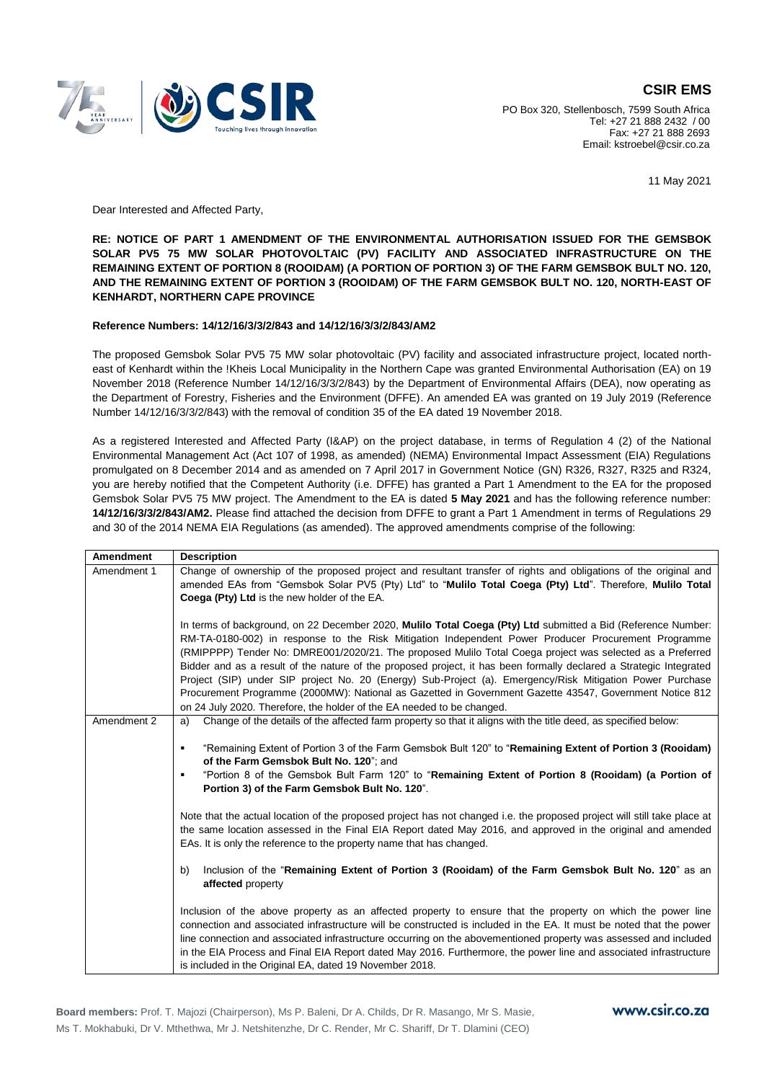

## **CSIR EMS**

PO Box 320, Stellenbosch, 7599 South Africa Tel: +27 21 888 2432 / 00 Fax: +27 21 888 2693 Email: kstroebel@csir.co.za

11 May 2021

Dear Interested and Affected Party,

**RE: NOTICE OF PART 1 AMENDMENT OF THE ENVIRONMENTAL AUTHORISATION ISSUED FOR THE GEMSBOK SOLAR PV5 75 MW SOLAR PHOTOVOLTAIC (PV) FACILITY AND ASSOCIATED INFRASTRUCTURE ON THE REMAINING EXTENT OF PORTION 8 (ROOIDAM) (A PORTION OF PORTION 3) OF THE FARM GEMSBOK BULT NO. 120, AND THE REMAINING EXTENT OF PORTION 3 (ROOIDAM) OF THE FARM GEMSBOK BULT NO. 120, NORTH-EAST OF KENHARDT, NORTHERN CAPE PROVINCE**

## **Reference Numbers: 14/12/16/3/3/2/843 and 14/12/16/3/3/2/843/AM2**

The proposed Gemsbok Solar PV5 75 MW solar photovoltaic (PV) facility and associated infrastructure project, located northeast of Kenhardt within the !Kheis Local Municipality in the Northern Cape was granted Environmental Authorisation (EA) on 19 November 2018 (Reference Number 14/12/16/3/3/2/843) by the Department of Environmental Affairs (DEA), now operating as the Department of Forestry, Fisheries and the Environment (DFFE). An amended EA was granted on 19 July 2019 (Reference Number 14/12/16/3/3/2/843) with the removal of condition 35 of the EA dated 19 November 2018.

As a registered Interested and Affected Party (I&AP) on the project database, in terms of Regulation 4 (2) of the National Environmental Management Act (Act 107 of 1998, as amended) (NEMA) Environmental Impact Assessment (EIA) Regulations promulgated on 8 December 2014 and as amended on 7 April 2017 in Government Notice (GN) R326, R327, R325 and R324, you are hereby notified that the Competent Authority (i.e. DFFE) has granted a Part 1 Amendment to the EA for the proposed Gemsbok Solar PV5 75 MW project. The Amendment to the EA is dated **5 May 2021** and has the following reference number: **14/12/16/3/3/2/843/AM2.** Please find attached the decision from DFFE to grant a Part 1 Amendment in terms of Regulations 29 and 30 of the 2014 NEMA EIA Regulations (as amended). The approved amendments comprise of the following:

| <b>Amendment</b> | <b>Description</b>                                                                                                                                                                                                                                                                                                                                                                                                                                                                                                                                                                                                                                                                                                                                       |
|------------------|----------------------------------------------------------------------------------------------------------------------------------------------------------------------------------------------------------------------------------------------------------------------------------------------------------------------------------------------------------------------------------------------------------------------------------------------------------------------------------------------------------------------------------------------------------------------------------------------------------------------------------------------------------------------------------------------------------------------------------------------------------|
| Amendment 1      | Change of ownership of the proposed project and resultant transfer of rights and obligations of the original and<br>amended EAs from "Gemsbok Solar PV5 (Pty) Ltd" to "Mulilo Total Coega (Pty) Ltd". Therefore, Mulilo Total<br>Coega (Pty) Ltd is the new holder of the EA.                                                                                                                                                                                                                                                                                                                                                                                                                                                                            |
|                  | In terms of background, on 22 December 2020, Mulilo Total Coega (Pty) Ltd submitted a Bid (Reference Number:<br>RM-TA-0180-002) in response to the Risk Mitigation Independent Power Producer Procurement Programme<br>(RMIPPPP) Tender No: DMRE001/2020/21. The proposed Mulilo Total Coega project was selected as a Preferred<br>Bidder and as a result of the nature of the proposed project, it has been formally declared a Strategic Integrated<br>Project (SIP) under SIP project No. 20 (Energy) Sub-Project (a). Emergency/Risk Mitigation Power Purchase<br>Procurement Programme (2000MW): National as Gazetted in Government Gazette 43547, Government Notice 812<br>on 24 July 2020. Therefore, the holder of the EA needed to be changed. |
| Amendment 2      | Change of the details of the affected farm property so that it aligns with the title deed, as specified below:<br>a)                                                                                                                                                                                                                                                                                                                                                                                                                                                                                                                                                                                                                                     |
|                  | "Remaining Extent of Portion 3 of the Farm Gemsbok Bult 120" to "Remaining Extent of Portion 3 (Rooidam)<br>٠<br>of the Farm Gemsbok Bult No. 120"; and<br>"Portion 8 of the Gemsbok Bult Farm 120" to "Remaining Extent of Portion 8 (Rooidam) (a Portion of<br>٠<br>Portion 3) of the Farm Gemsbok Bult No. 120".                                                                                                                                                                                                                                                                                                                                                                                                                                      |
|                  | Note that the actual location of the proposed project has not changed i.e. the proposed project will still take place at<br>the same location assessed in the Final EIA Report dated May 2016, and approved in the original and amended<br>EAs. It is only the reference to the property name that has changed.                                                                                                                                                                                                                                                                                                                                                                                                                                          |
|                  | Inclusion of the "Remaining Extent of Portion 3 (Rooidam) of the Farm Gemsbok Bult No. 120" as an<br>b)<br>affected property                                                                                                                                                                                                                                                                                                                                                                                                                                                                                                                                                                                                                             |
|                  | Inclusion of the above property as an affected property to ensure that the property on which the power line<br>connection and associated infrastructure will be constructed is included in the EA. It must be noted that the power<br>line connection and associated infrastructure occurring on the abovementioned property was assessed and included<br>in the EIA Process and Final EIA Report dated May 2016. Furthermore, the power line and associated infrastructure<br>is included in the Original EA, dated 19 November 2018.                                                                                                                                                                                                                   |